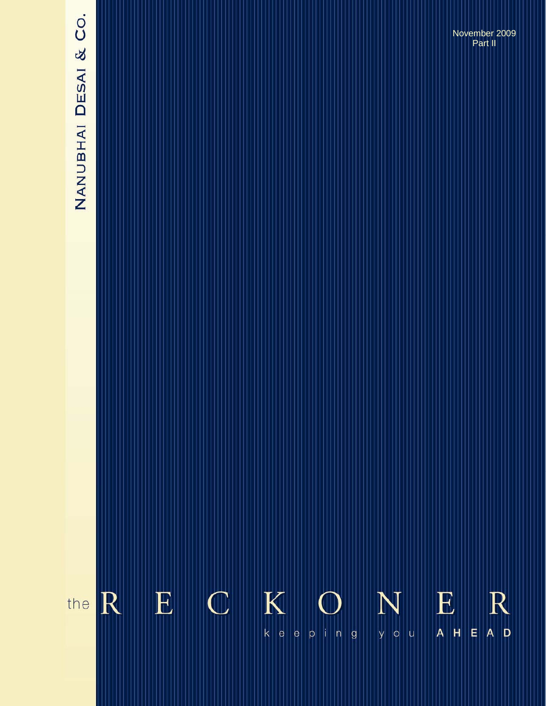# NANUBHAI DESAI & CO.

November 2009 Part II

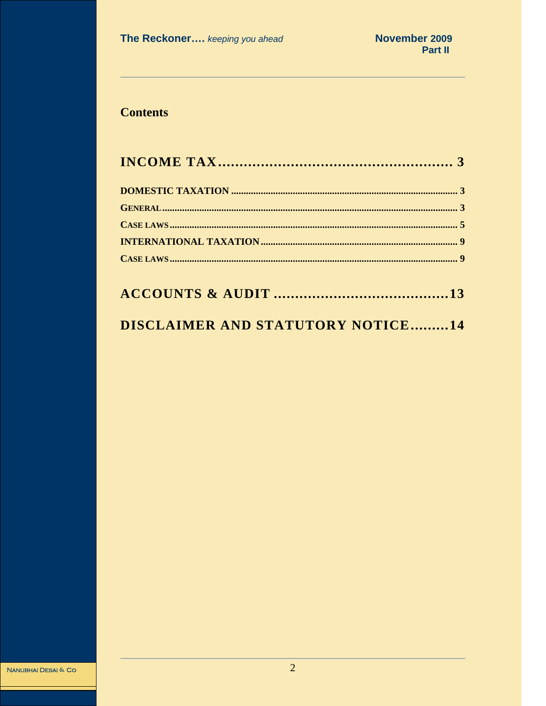# **Contents**

# DISCLAIMER AND STATUTORY NOTICE.........14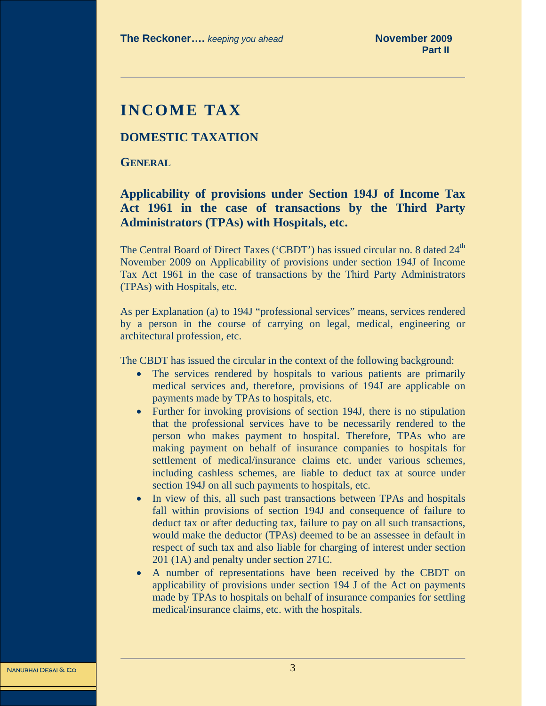# <span id="page-2-0"></span>**INCOME TAX**

#### **DOMESTIC TAXATION**

**GENERAL**

# **Applicability of provisions under Section 194J of Income Tax Act 1961 in the case of transactions by the Third Party Administrators (TPAs) with Hospitals, etc.**

The Central Board of Direct Taxes ('CBDT') has issued circular no. 8 dated 24<sup>th</sup> November 2009 on Applicability of provisions under section 194J of Income Tax Act 1961 in the case of transactions by the Third Party Administrators (TPAs) with Hospitals, etc.

As per Explanation (a) to 194J "professional services" means, services rendered by a person in the course of carrying on legal, medical, engineering or architectural profession, etc.

The CBDT has issued the circular in the context of the following background:

- The services rendered by hospitals to various patients are primarily medical services and, therefore, provisions of 194J are applicable on payments made by TPAs to hospitals, etc.
- Further for invoking provisions of section 194J, there is no stipulation that the professional services have to be necessarily rendered to the person who makes payment to hospital. Therefore, TPAs who are making payment on behalf of insurance companies to hospitals for settlement of medical/insurance claims etc. under various schemes, including cashless schemes, are liable to deduct tax at source under section 194J on all such payments to hospitals, etc.
- In view of this, all such past transactions between TPAs and hospitals fall within provisions of section 194J and consequence of failure to deduct tax or after deducting tax, failure to pay on all such transactions, would make the deductor (TPAs) deemed to be an assessee in default in respect of such tax and also liable for charging of interest under section 201 (1A) and penalty under section 271C.
- A number of representations have been received by the CBDT on applicability of provisions under section 194 J of the Act on payments made by TPAs to hospitals on behalf of insurance companies for settling medical/insurance claims, etc. with the hospitals.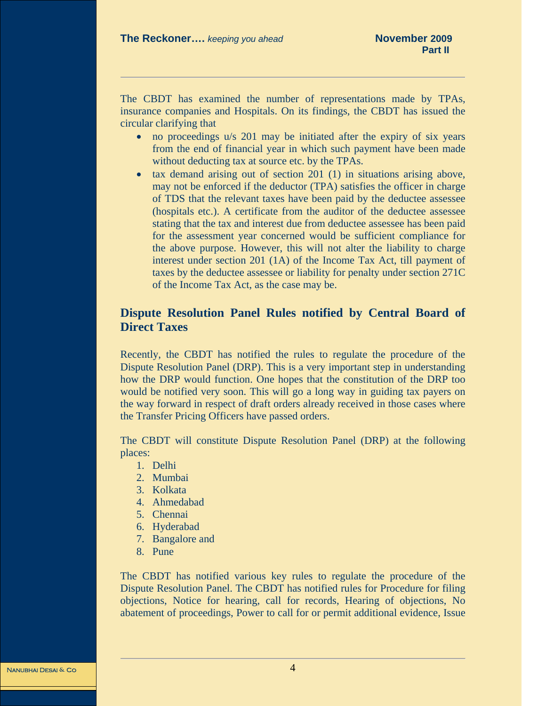The CBDT has examined the number of representations made by TPAs, insurance companies and Hospitals. On its findings, the CBDT has issued the circular clarifying that

- no proceedings u/s 201 may be initiated after the expiry of six years from the end of financial year in which such payment have been made without deducting tax at source etc. by the TPAs.
- tax demand arising out of section 201 (1) in situations arising above, may not be enforced if the deductor (TPA) satisfies the officer in charge of TDS that the relevant taxes have been paid by the deductee assessee (hospitals etc.). A certificate from the auditor of the deductee assessee stating that the tax and interest due from deductee assessee has been paid for the assessment year concerned would be sufficient compliance for the above purpose. However, this will not alter the liability to charge interest under section 201 (1A) of the Income Tax Act, till payment of taxes by the deductee assessee or liability for penalty under section 271C of the Income Tax Act, as the case may be.

# **Dispute Resolution Panel Rules notified by Central Board of Direct Taxes**

Recently, the CBDT has notified the rules to regulate the procedure of the Dispute Resolution Panel (DRP). This is a very important step in understanding how the DRP would function. One hopes that the constitution of the DRP too would be notified very soon. This will go a long way in guiding tax payers on the way forward in respect of draft orders already received in those cases where the Transfer Pricing Officers have passed orders.

The CBDT will constitute Dispute Resolution Panel (DRP) at the following places:

- 1. Delhi
- 2. Mumbai
- 3. Kolkata
- 4. Ahmedabad
- 5. Chennai
- 6. Hyderabad
- 7. Bangalore and
- 8. Pune

The CBDT has notified various key rules to regulate the procedure of the Dispute Resolution Panel. The CBDT has notified rules for Procedure for filing objections, Notice for hearing, call for records, Hearing of objections, No abatement of proceedings, Power to call for or permit additional evidence, Issue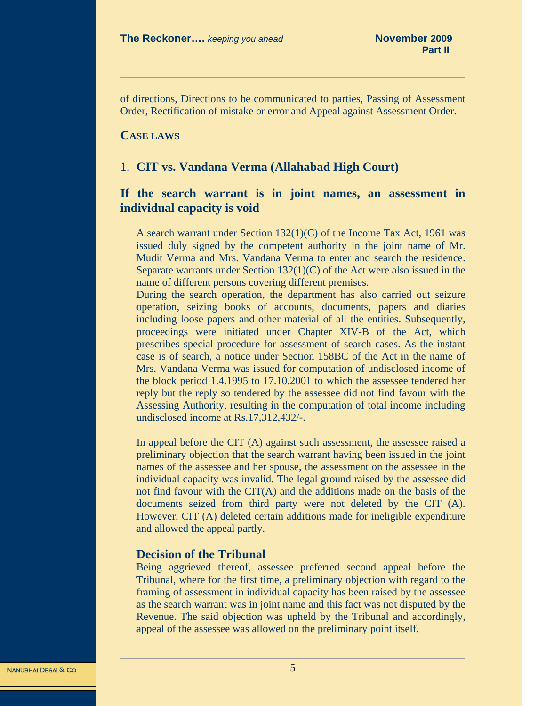<span id="page-4-0"></span>of directions, Directions to be communicated to parties, Passing of Assessment Order, Rectification of mistake or error and Appeal against Assessment Order.

#### **CASE LAWS**

#### 1. **CIT vs. Vandana Verma (Allahabad High Court)**

### **If the search warrant is in joint names, an assessment in individual capacity is void**

A search warrant under Section 132(1)(C) of the Income Tax Act, 1961 was issued duly signed by the competent authority in the joint name of Mr. Mudit Verma and Mrs. Vandana Verma to enter and search the residence. Separate warrants under Section 132(1)(C) of the Act were also issued in the name of different persons covering different premises.

During the search operation, the department has also carried out seizure operation, seizing books of accounts, documents, papers and diaries including loose papers and other material of all the entities. Subsequently, proceedings were initiated under Chapter XIV-B of the Act, which prescribes special procedure for assessment of search cases. As the instant case is of search, a notice under Section 158BC of the Act in the name of Mrs. Vandana Verma was issued for computation of undisclosed income of the block period 1.4.1995 to 17.10.2001 to which the assessee tendered her reply but the reply so tendered by the assessee did not find favour with the Assessing Authority, resulting in the computation of total income including undisclosed income at Rs.17,312,432/-.

In appeal before the CIT (A) against such assessment, the assessee raised a preliminary objection that the search warrant having been issued in the joint names of the assessee and her spouse, the assessment on the assessee in the individual capacity was invalid. The legal ground raised by the assessee did not find favour with the CIT(A) and the additions made on the basis of the documents seized from third party were not deleted by the CIT (A). However, CIT (A) deleted certain additions made for ineligible expenditure and allowed the appeal partly.

#### **Decision of the Tribunal**

Being aggrieved thereof, assessee preferred second appeal before the Tribunal, where for the first time, a preliminary objection with regard to the framing of assessment in individual capacity has been raised by the assessee as the search warrant was in joint name and this fact was not disputed by the Revenue. The said objection was upheld by the Tribunal and accordingly, appeal of the assessee was allowed on the preliminary point itself.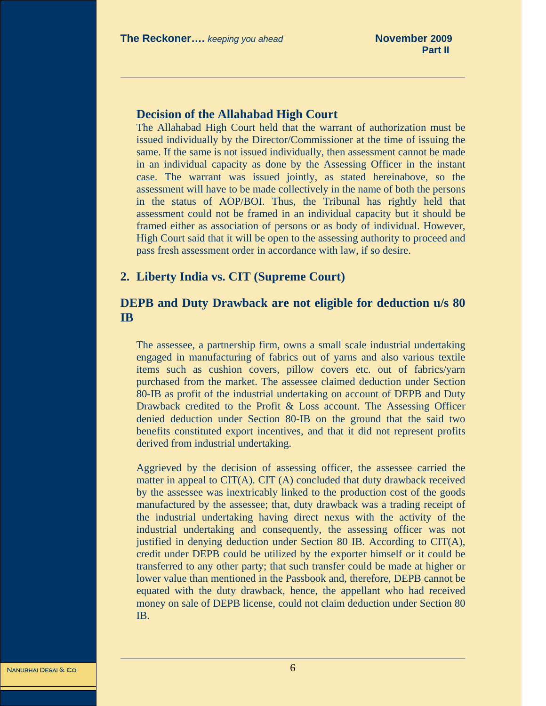#### **Decision of the Allahabad High Court**

The Allahabad High Court held that the warrant of authorization must be issued individually by the Director/Commissioner at the time of issuing the same. If the same is not issued individually, then assessment cannot be made in an individual capacity as done by the Assessing Officer in the instant case. The warrant was issued jointly, as stated hereinabove, so the assessment will have to be made collectively in the name of both the persons in the status of AOP/BOI. Thus, the Tribunal has rightly held that assessment could not be framed in an individual capacity but it should be framed either as association of persons or as body of individual. However, High Court said that it will be open to the assessing authority to proceed and pass fresh assessment order in accordance with law, if so desire.

#### **2. Liberty India vs. CIT (Supreme Court)**

# **DEPB and Duty Drawback are not eligible for deduction u/s 80 IB**

The assessee, a partnership firm, owns a small scale industrial undertaking engaged in manufacturing of fabrics out of yarns and also various textile items such as cushion covers, pillow covers etc. out of fabrics/yarn purchased from the market. The assessee claimed deduction under Section 80-IB as profit of the industrial undertaking on account of DEPB and Duty Drawback credited to the Profit & Loss account. The Assessing Officer denied deduction under Section 80-IB on the ground that the said two benefits constituted export incentives, and that it did not represent profits derived from industrial undertaking.

Aggrieved by the decision of assessing officer, the assessee carried the matter in appeal to CIT(A). CIT (A) concluded that duty drawback received by the assessee was inextricably linked to the production cost of the goods manufactured by the assessee; that, duty drawback was a trading receipt of the industrial undertaking having direct nexus with the activity of the industrial undertaking and consequently, the assessing officer was not justified in denying deduction under Section 80 IB. According to CIT(A), credit under DEPB could be utilized by the exporter himself or it could be transferred to any other party; that such transfer could be made at higher or lower value than mentioned in the Passbook and, therefore, DEPB cannot be equated with the duty drawback, hence, the appellant who had received money on sale of DEPB license, could not claim deduction under Section 80 IB.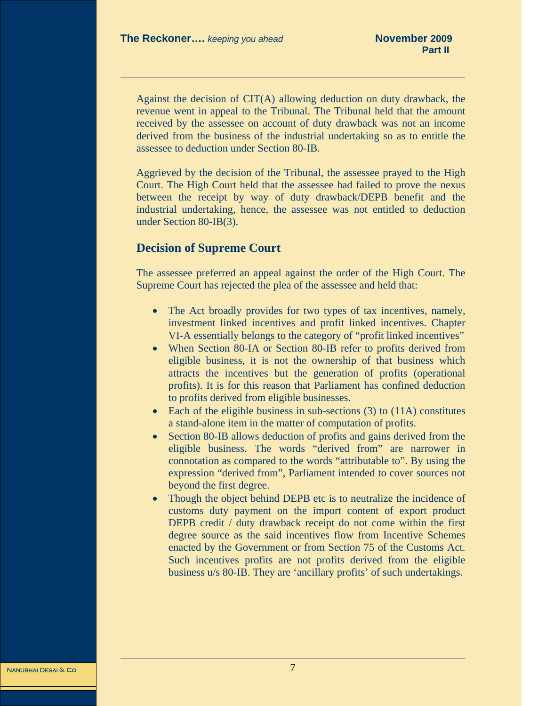Against the decision of CIT(A) allowing deduction on duty drawback, the revenue went in appeal to the Tribunal. The Tribunal held that the amount received by the assessee on account of duty drawback was not an income derived from the business of the industrial undertaking so as to entitle the assessee to deduction under Section 80-IB.

Aggrieved by the decision of the Tribunal, the assessee prayed to the High Court. The High Court held that the assessee had failed to prove the nexus between the receipt by way of duty drawback/DEPB benefit and the industrial undertaking, hence, the assessee was not entitled to deduction under Section 80-IB(3).

#### **Decision of Supreme Court**

The assessee preferred an appeal against the order of the High Court. The Supreme Court has rejected the plea of the assessee and held that:

- The Act broadly provides for two types of tax incentives, namely, investment linked incentives and profit linked incentives. Chapter VI-A essentially belongs to the category of "profit linked incentives"
- When Section 80-IA or Section 80-IB refer to profits derived from eligible business, it is not the ownership of that business which attracts the incentives but the generation of profits (operational profits). It is for this reason that Parliament has confined deduction to profits derived from eligible businesses.
- Each of the eligible business in sub-sections (3) to (11A) constitutes a stand-alone item in the matter of computation of profits.
- Section 80-IB allows deduction of profits and gains derived from the eligible business. The words "derived from" are narrower in connotation as compared to the words "attributable to". By using the expression "derived from", Parliament intended to cover sources not beyond the first degree.
- Though the object behind DEPB etc is to neutralize the incidence of customs duty payment on the import content of export product DEPB credit / duty drawback receipt do not come within the first degree source as the said incentives flow from Incentive Schemes enacted by the Government or from Section 75 of the Customs Act. Such incentives profits are not profits derived from the eligible business u/s 80-IB. They are 'ancillary profits' of such undertakings.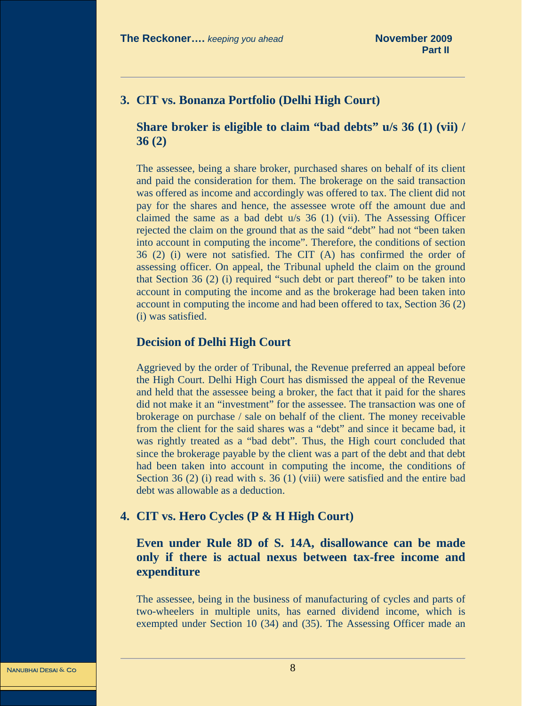# **3. CIT vs. Bonanza Portfolio (Delhi High Court)**

### **Share broker is eligible to claim "bad debts" u/s 36 (1) (vii) / 36 (2)**

The assessee, being a share broker, purchased shares on behalf of its client and paid the consideration for them. The brokerage on the said transaction was offered as income and accordingly was offered to tax. The client did not pay for the shares and hence, the assessee wrote off the amount due and claimed the same as a bad debt u/s 36 (1) (vii). The Assessing Officer rejected the claim on the ground that as the said "debt" had not "been taken into account in computing the income". Therefore, the conditions of section 36 (2) (i) were not satisfied. The CIT (A) has confirmed the order of assessing officer. On appeal, the Tribunal upheld the claim on the ground that Section 36 (2) (i) required "such debt or part thereof" to be taken into account in computing the income and as the brokerage had been taken into account in computing the income and had been offered to tax, Section 36 (2) (i) was satisfied.

#### **Decision of Delhi High Court**

Aggrieved by the order of Tribunal, the Revenue preferred an appeal before the High Court. Delhi High Court has dismissed the appeal of the Revenue and held that the assessee being a broker, the fact that it paid for the shares did not make it an "investment" for the assessee. The transaction was one of brokerage on purchase / sale on behalf of the client. The money receivable from the client for the said shares was a "debt" and since it became bad, it was rightly treated as a "bad debt". Thus, the High court concluded that since the brokerage payable by the client was a part of the debt and that debt had been taken into account in computing the income, the conditions of Section 36 (2) (i) read with s. 36 (1) (viii) were satisfied and the entire bad debt was allowable as a deduction.

# **4. CIT vs. Hero Cycles (P & H High Court)**

# **Even under Rule 8D of S. 14A, disallowance can be made only if there is actual nexus between tax-free income and expenditure**

The assessee, being in the business of manufacturing of cycles and parts of two-wheelers in multiple units, has earned dividend income, which is exempted under Section 10 (34) and (35). The Assessing Officer made an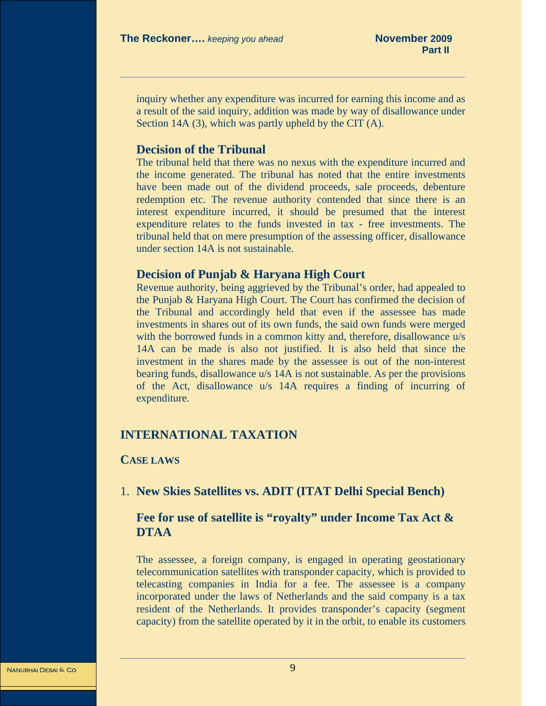<span id="page-8-0"></span>inquiry whether any expenditure was incurred for earning this income and as a result of the said inquiry, addition was made by way of disallowance under Section 14A (3), which was partly upheld by the CIT (A).

#### **Decision of the Tribunal**

The tribunal held that there was no nexus with the expenditure incurred and the income generated. The tribunal has noted that the entire investments have been made out of the dividend proceeds, sale proceeds, debenture redemption etc. The revenue authority contended that since there is an interest expenditure incurred, it should be presumed that the interest expenditure relates to the funds invested in tax - free investments. The tribunal held that on mere presumption of the assessing officer, disallowance under section 14A is not sustainable.

#### **Decision of Punjab & Haryana High Court**

Revenue authority, being aggrieved by the Tribunal's order, had appealed to the Punjab & Haryana High Court. The Court has confirmed the decision of the Tribunal and accordingly held that even if the assessee has made investments in shares out of its own funds, the said own funds were merged with the borrowed funds in a common kitty and, therefore, disallowance  $u/s$ 14A can be made is also not justified. It is also held that since the investment in the shares made by the assessee is out of the non-interest bearing funds, disallowance u/s 14A is not sustainable. As per the provisions of the Act, disallowance u/s 14A requires a finding of incurring of expenditure.

# **INTERNATIONAL TAXATION**

#### **CASE LAWS**

1. **New Skies Satellites vs. ADIT (ITAT Delhi Special Bench)**

# **Fee for use of satellite is "royalty" under Income Tax Act & DTAA**

The assessee, a foreign company, is engaged in operating geostationary telecommunication satellites with transponder capacity, which is provided to telecasting companies in India for a fee. The assessee is a company incorporated under the laws of Netherlands and the said company is a tax resident of the Netherlands. It provides transponder's capacity (segment capacity) from the satellite operated by it in the orbit, to enable its customers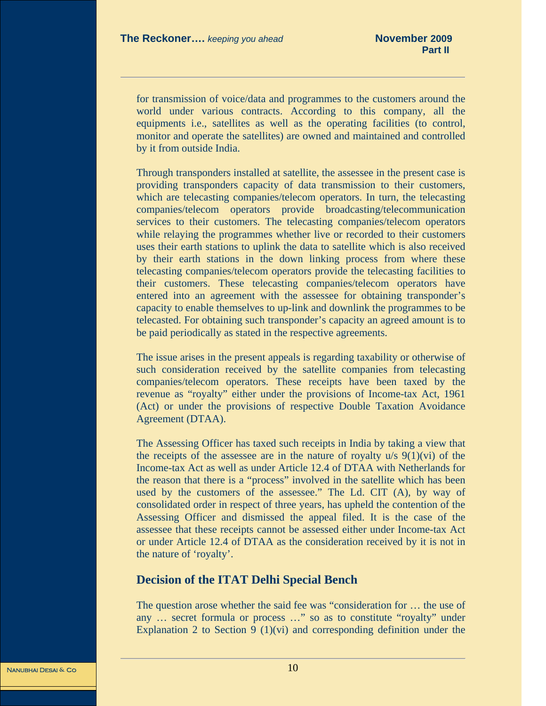for transmission of voice/data and programmes to the customers around the world under various contracts. According to this company, all the equipments i.e., satellites as well as the operating facilities (to control, monitor and operate the satellites) are owned and maintained and controlled by it from outside India.

Through transponders installed at satellite, the assessee in the present case is providing transponders capacity of data transmission to their customers, which are telecasting companies/telecom operators. In turn, the telecasting companies/telecom operators provide broadcasting/telecommunication services to their customers. The telecasting companies/telecom operators while relaying the programmes whether live or recorded to their customers uses their earth stations to uplink the data to satellite which is also received by their earth stations in the down linking process from where these telecasting companies/telecom operators provide the telecasting facilities to their customers. These telecasting companies/telecom operators have entered into an agreement with the assessee for obtaining transponder's capacity to enable themselves to up-link and downlink the programmes to be telecasted. For obtaining such transponder's capacity an agreed amount is to be paid periodically as stated in the respective agreements.

The issue arises in the present appeals is regarding taxability or otherwise of such consideration received by the satellite companies from telecasting companies/telecom operators. These receipts have been taxed by the revenue as "royalty" either under the provisions of Income-tax Act, 1961 (Act) or under the provisions of respective Double Taxation Avoidance Agreement (DTAA).

The Assessing Officer has taxed such receipts in India by taking a view that the receipts of the assessee are in the nature of royalty  $u/s$  9(1)(vi) of the Income-tax Act as well as under Article 12.4 of DTAA with Netherlands for the reason that there is a "process" involved in the satellite which has been used by the customers of the assessee." The Ld. CIT (A), by way of consolidated order in respect of three years, has upheld the contention of the Assessing Officer and dismissed the appeal filed. It is the case of the assessee that these receipts cannot be assessed either under Income-tax Act or under Article 12.4 of DTAA as the consideration received by it is not in the nature of 'royalty'.

#### **Decision of the ITAT Delhi Special Bench**

The question arose whether the said fee was "consideration for … the use of any … secret formula or process …" so as to constitute "royalty" under Explanation 2 to Section 9  $(1)(vi)$  and corresponding definition under the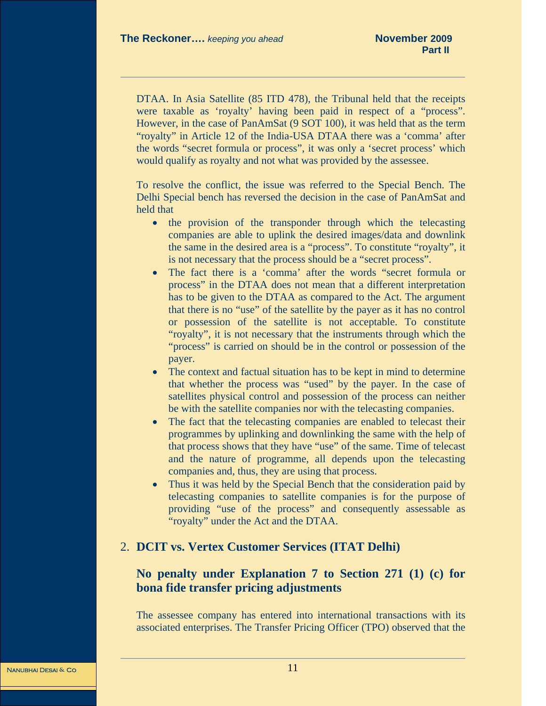DTAA. In Asia Satellite (85 ITD 478), the Tribunal held that the receipts were taxable as 'royalty' having been paid in respect of a "process". However, in the case of PanAmSat (9 SOT 100), it was held that as the term "royalty" in Article 12 of the India-USA DTAA there was a 'comma' after the words "secret formula or process", it was only a 'secret process' which would qualify as royalty and not what was provided by the assessee.

To resolve the conflict, the issue was referred to the Special Bench. The Delhi Special bench has reversed the decision in the case of PanAmSat and held that

- the provision of the transponder through which the telecasting companies are able to uplink the desired images/data and downlink the same in the desired area is a "process". To constitute "royalty", it is not necessary that the process should be a "secret process".
- The fact there is a 'comma' after the words "secret formula or process" in the DTAA does not mean that a different interpretation has to be given to the DTAA as compared to the Act. The argument that there is no "use" of the satellite by the payer as it has no control or possession of the satellite is not acceptable. To constitute "royalty", it is not necessary that the instruments through which the "process" is carried on should be in the control or possession of the payer.
- The context and factual situation has to be kept in mind to determine that whether the process was "used" by the payer. In the case of satellites physical control and possession of the process can neither be with the satellite companies nor with the telecasting companies.
- The fact that the telecasting companies are enabled to telecast their programmes by uplinking and downlinking the same with the help of that process shows that they have "use" of the same. Time of telecast and the nature of programme, all depends upon the telecasting companies and, thus, they are using that process.
- Thus it was held by the Special Bench that the consideration paid by telecasting companies to satellite companies is for the purpose of providing "use of the process" and consequently assessable as "royalty" under the Act and the DTAA.

# 2. **DCIT vs. Vertex Customer Services (ITAT Delhi)**

# **No penalty under Explanation 7 to Section 271 (1) (c) for bona fide transfer pricing adjustments**

The assessee company has entered into international transactions with its associated enterprises. The Transfer Pricing Officer (TPO) observed that the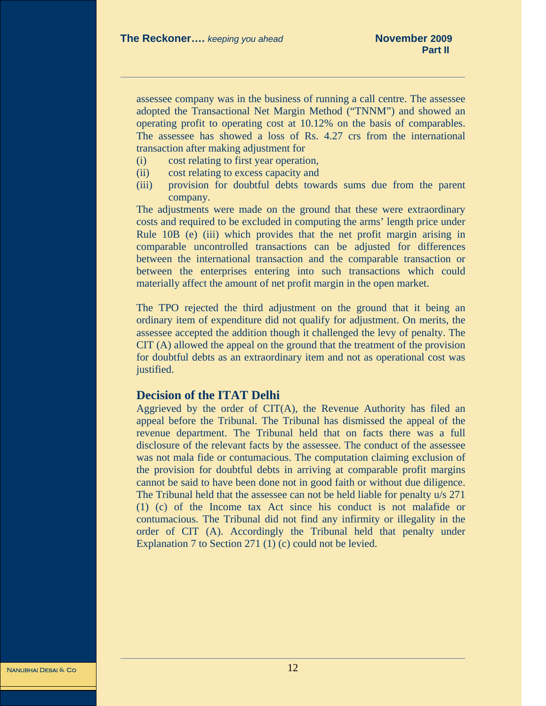assessee company was in the business of running a call centre. The assessee adopted the Transactional Net Margin Method ("TNNM") and showed an operating profit to operating cost at 10.12% on the basis of comparables. The assessee has showed a loss of Rs. 4.27 crs from the international transaction after making adjustment for

- (i) cost relating to first year operation,
- (ii) cost relating to excess capacity and
- (iii) provision for doubtful debts towards sums due from the parent company.

The adjustments were made on the ground that these were extraordinary costs and required to be excluded in computing the arms' length price under Rule 10B (e) (iii) which provides that the net profit margin arising in comparable uncontrolled transactions can be adjusted for differences between the international transaction and the comparable transaction or between the enterprises entering into such transactions which could materially affect the amount of net profit margin in the open market.

The TPO rejected the third adjustment on the ground that it being an ordinary item of expenditure did not qualify for adjustment. On merits, the assessee accepted the addition though it challenged the levy of penalty. The CIT (A) allowed the appeal on the ground that the treatment of the provision for doubtful debts as an extraordinary item and not as operational cost was justified.

#### **Decision of the ITAT Delhi**

Aggrieved by the order of CIT(A), the Revenue Authority has filed an appeal before the Tribunal. The Tribunal has dismissed the appeal of the revenue department. The Tribunal held that on facts there was a full disclosure of the relevant facts by the assessee. The conduct of the assessee was not mala fide or contumacious. The computation claiming exclusion of the provision for doubtful debts in arriving at comparable profit margins cannot be said to have been done not in good faith or without due diligence. The Tribunal held that the assessee can not be held liable for penalty u/s 271 (1) (c) of the Income tax Act since his conduct is not malafide or contumacious. The Tribunal did not find any infirmity or illegality in the order of CIT (A). Accordingly the Tribunal held that penalty under Explanation 7 to Section 271 (1) (c) could not be levied.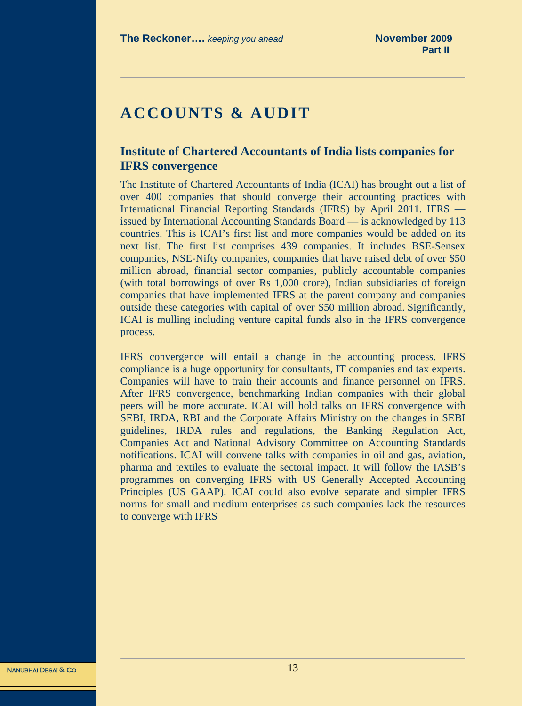# <span id="page-12-0"></span>**ACCOUNTS & AUDIT**

# **Institute of Chartered Accountants of India lists companies for IFRS convergence**

The Institute of Chartered Accountants of India (ICAI) has brought out a list of over 400 companies that should converge their accounting practices with International Financial Reporting Standards (IFRS) by April 2011. IFRS issued by International Accounting Standards Board — is acknowledged by 113 countries. This is ICAI's first list and more companies would be added on its next list. The first list comprises 439 companies. It includes BSE-Sensex companies, NSE-Nifty companies, companies that have raised debt of over \$50 million abroad, financial sector companies, publicly accountable companies (with total borrowings of over Rs 1,000 crore), Indian subsidiaries of foreign companies that have implemented IFRS at the parent company and companies outside these categories with capital of over \$50 million abroad. Significantly, ICAI is mulling including venture capital funds also in the IFRS convergence process.

IFRS convergence will entail a change in the accounting process. IFRS compliance is a huge opportunity for consultants, IT companies and tax experts. Companies will have to train their accounts and finance personnel on IFRS. After IFRS convergence, benchmarking Indian companies with their global peers will be more accurate. ICAI will hold talks on IFRS convergence with SEBI, IRDA, RBI and the Corporate Affairs Ministry on the changes in SEBI guidelines, IRDA rules and regulations, the Banking Regulation Act, Companies Act and National Advisory Committee on Accounting Standards notifications. ICAI will convene talks with companies in oil and gas, aviation, pharma and textiles to evaluate the sectoral impact. It will follow the IASB's programmes on converging IFRS with US Generally Accepted Accounting Principles (US GAAP). ICAI could also evolve separate and simpler IFRS norms for small and medium enterprises as such companies lack the resources to converge with IFRS